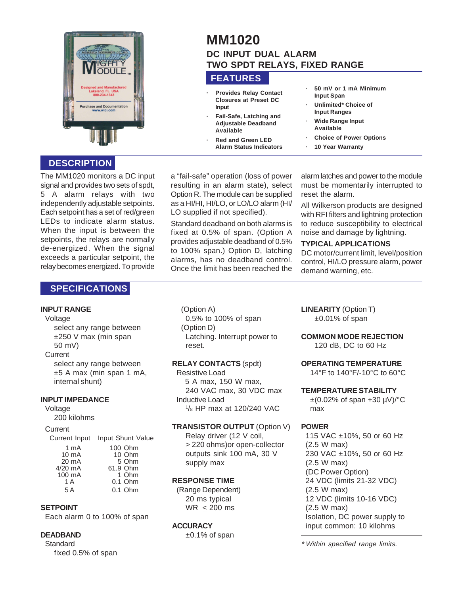

## **DESCRIPTION**

The MM1020 monitors a DC input signal and provides two sets of spdt, 5 A alarm relays with two independently adjustable setpoints. Each setpoint has a set of red/green LEDs to indicate alarm status. When the input is between the setpoints, the relays are normally de-energized. When the signal exceeds a particular setpoint, the relay becomes energized. To provide

## **SPECIFICATIONS**

#### **INPUT RANGE**

Voltage select any range between ±250 V max (min span 50 mV) **Current** 

select any range between ±5 A max (min span 1 mA, internal shunt)

#### **INPUT IMPEDANCE**

Voltage 200 kilohms

#### **Current**

|                                                                       | Current Input Input Shunt Value                                           |
|-----------------------------------------------------------------------|---------------------------------------------------------------------------|
| 1 mA<br>$10 \text{ mA}$<br>20 mA<br>$4/20$ mA<br>100 mA<br>1 A<br>5 A | 100 Ohm<br>10 Ohm<br>5 Ohm<br>61.9 Ohm<br>1 Ohm<br>$0.1$ Ohm<br>$0.1$ Ohm |
|                                                                       |                                                                           |

#### **SETPOINT**

Each alarm 0 to 100% of span

### **DEADBAND**

**Standard** fixed 0.5% of span

# **MM1020 DC INPUT DUAL ALARM TWO SPDT RELAYS, FIXED RANGE**

## **FEATURES**

- **· Provides Relay Contact Closures at Preset DC Input**
- **· Fail-Safe, Latching and Adjustable Deadband Available**
- **· Red and Green LED Alarm Status Indicators**

**· 50 mV or 1 mA Minimum Input Span**

- **· Unlimited\* Choice of Input Ranges**
- **· Wide Range Input Available**
- **· Choice of Power Options**
- **· 10 Year Warranty**

a "fail-safe" operation (loss of power resulting in an alarm state), select Option R. The module can be supplied as a HI/HI, HI/LO, or LO/LO alarm (HI/ LO supplied if not specified).

Standard deadband on both alarms is fixed at 0.5% of span. (Option A provides adjustable deadband of 0.5% to 100% span.) Option D, latching alarms, has no deadband control. Once the limit has been reached the

alarm latches and power to the module must be momentarily interrupted to reset the alarm.

All Wilkerson products are designed with RFI filters and lightning protection to reduce susceptibility to electrical noise and damage by lightning.

#### **TYPICAL APPLICATIONS**

DC motor/current limit, level/position control, HI/LO pressure alarm, power demand warning, etc.

(Option A) 0.5% to 100% of span (Option D) Latching. Interrupt power to reset.

#### **RELAY CONTACTS** (spdt)

Resistive Load 5 A max, 150 W max, 240 VAC max, 30 VDC max Inductive Load 1 /8 HP max at 120/240 VAC

#### **TRANSISTOR OUTPUT** (Option V)

Relay driver (12 V coil, > 220 ohms)or open-collector outputs sink 100 mA, 30 V supply max

### **RESPONSE TIME**

(Range Dependent) 20 ms typical WR < 200 ms

### **ACCURACY**

 $±0.1\%$  of span

**LINEARITY** (Option T)  $±0.01%$  of span

**COMMON MODE REJECTION**

120 dB, DC to 60 Hz

**OPERATING TEMPERATURE**

14°F to 140°F/-10°C to 60°C

#### **TEMPERATURE STABILITY**

 $\pm$ (0.02% of span +30 µV)/ $^{\circ}$ C max

### **POWER**

115 VAC ±10%, 50 or 60 Hz (2.5 W max) 230 VAC ±10%, 50 or 60 Hz (2.5 W max) (DC Power Option) 24 VDC (limits 21-32 VDC) (2.5 W max) 12 VDC (limits 10-16 VDC) (2.5 W max) Isolation, DC power supply to input common: 10 kilohms

\* Within specified range limits.